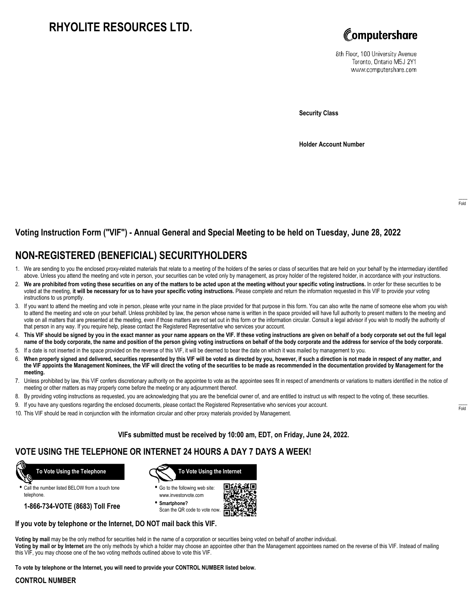# **RHYOLITE RESOURCES LTD.**



8th Floor, 100 University Avenue Toronto, Ontario M5J 2Y1 www.computershare.com

**Security Class**

**Holder Account Number**

### **Voting Instruction Form ("VIF") - Annual General and Special Meeting to be held on Tuesday, June 28, 2022**

## **NON-REGISTERED (BENEFICIAL) SECURITYHOLDERS**

- 1. We are sending to you the enclosed proxy-related materials that relate to a meeting of the holders of the series or class of securities that are held on your behalf by the intermediary identified above. Unless you attend the meeting and vote in person, your securities can be voted only by management, as proxy holder of the registered holder, in accordance with your instructions.
- 2. **We are prohibited from voting these securities on any of the matters to be acted upon at the meeting without your specific voting instructions.** In order for these securities to be voted at the meeting, **it will be necessary for us to have your specific voting instructions.** Please complete and return the information requested in this VIF to provide your voting instructions to us promptly.
- 3. If you want to attend the meeting and vote in person, please write your name in the place provided for that purpose in this form. You can also write the name of someone else whom you wish to attend the meeting and vote on your behalf. Unless prohibited by law, the person whose name is written in the space provided will have full authority to present matters to the meeting and vote on all matters that are presented at the meeting, even if those matters are not set out in this form or the information circular. Consult a legal advisor if you wish to modify the authority of that person in any way. If you require help, please contact the Registered Representative who services your account.
- 4. **This VIF should be signed by you in the exact manner as your name appears on the VIF. If these voting instructions are given on behalf of a body corporate set out the full legal name of the body corporate, the name and position of the person giving voting instructions on behalf of the body corporate and the address for service of the body corporate.**
- 5. If a date is not inserted in the space provided on the reverse of this VIF, it will be deemed to bear the date on which it was mailed by management to you.
- 6. **When properly signed and delivered, securities represented by this VIF will be voted as directed by you, however, if such a direction is not made in respect of any matter, and the VIF appoints the Management Nominees, the VIF will direct the voting of the securities to be made as recommended in the documentation provided by Management for the meeting.**
- 7. Unless prohibited by law, this VIF confers discretionary authority on the appointee to vote as the appointee sees fit in respect of amendments or variations to matters identified in the notice of meeting or other matters as may properly come before the meeting or any adjournment thereof.
- 8. By providing voting instructions as requested, you are acknowledging that you are the beneficial owner of, and are entitled to instruct us with respect to the voting of, these securities.
- 9. If you have any questions regarding the enclosed documents, please contact the Registered Representative who services your account.
- 10. This VIF should be read in conjunction with the information circular and other proxy materials provided by Management.

**VIFs submitted must be received by 10:00 am, EDT, on Friday, June 24, 2022.**

### **VOTE USING THE TELEPHONE OR INTERNET 24 HOURS A DAY 7 DAYS A WEEK!**



**•** Call the number listed BELOW from a touch tone telephone.

**1-866-734-VOTE (8683) Toll Free**



**•** Go to the following web site: www.investorvote.com

**• Smartphone?** Scan the QR code to vote now.



#### **If you vote by telephone or the Internet, DO NOT mail back this VIF.**

**Voting by mail** may be the only method for securities held in the name of a corporation or securities being voted on behalf of another individual.

**Voting by mail or by Internet** are the only methods by which a holder may choose an appointee other than the Management appointees named on the reverse of this VIF. Instead of mailing this VIF, you may choose one of the two voting methods outlined above to vote this VIF.

**To vote by telephone or the Internet, you will need to provide your CONTROL NUMBER listed below.**

#### **CONTROL NUMBER**